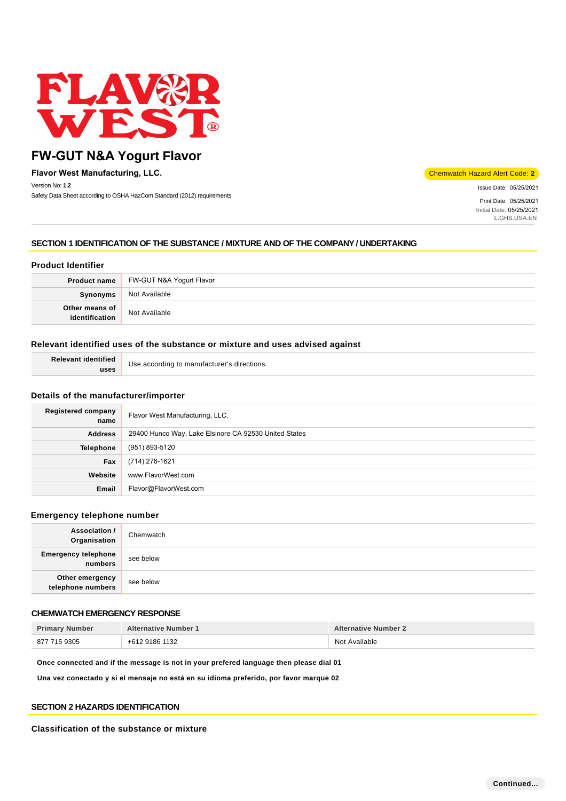

**Flavor West Manufacturing, LLC.** Chemwatch Hazard Alert Code: **2** Version No: **1.2** Safety Data Sheet according to OSHA HazCom Standard (2012) requirements

Issue Date: 05/25/2021

Print Date: 05/25/2021 Initial Date: 05/25/2021 L.GHS.USA.EN

# **SECTION 1 IDENTIFICATION OF THE SUBSTANCE / MIXTURE AND OF THE COMPANY / UNDERTAKING**

### **Product Identifier**

| <b>Product name</b>              | FW-GUT N&A Yogurt Flavor |
|----------------------------------|--------------------------|
| Synonyms                         | Not Available            |
| Other means of<br>identification | Not Available            |

### **Relevant identified uses of the substance or mixture and uses advised against**

| Relevant identified | Use according to manufacturer's directions. |
|---------------------|---------------------------------------------|
| uses                |                                             |

### **Details of the manufacturer/importer**

| <b>Registered company</b><br>name | Flavor West Manufacturing, LLC.                       |
|-----------------------------------|-------------------------------------------------------|
| <b>Address</b>                    | 29400 Hunco Way, Lake Elsinore CA 92530 United States |
| Telephone                         | (951) 893-5120                                        |
| Fax                               | (714) 276-1621                                        |
| Website                           | www.FlavorWest.com                                    |
| Email                             | Flavor@FlavorWest.com                                 |

### **Emergency telephone number**

| <b>Association /</b><br>Organisation  | Chemwatch |
|---------------------------------------|-----------|
| <b>Emergency telephone</b><br>numbers | see below |
| Other emergency<br>telephone numbers  | see below |

### **CHEMWATCH EMERGENCY RESPONSE**

| <b>Primary Number</b> | <b>Alternative Number 1</b> | <b>Alternative Number 2</b> |
|-----------------------|-----------------------------|-----------------------------|
| 877 715 9305          | +612 9186 1132              | Not Available               |

**Once connected and if the message is not in your prefered language then please dial 01**

**Una vez conectado y si el mensaje no está en su idioma preferido, por favor marque 02**

### **SECTION 2 HAZARDS IDENTIFICATION**

#### **Classification of the substance or mixture**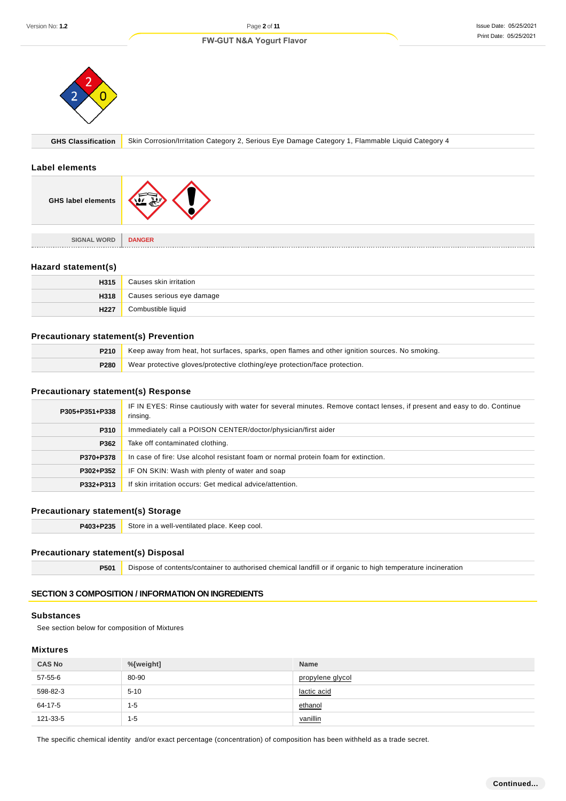#### Issue Date: 05/25/2021 Print Date: 05/25/2021





**GHS Classification** Skin Corrosion/Irritation Category 2, Serious Eye Damage Category 1, Flammable Liquid Category 4

#### **Label elements**

| <b>GHS label elements</b>           |               |
|-------------------------------------|---------------|
|                                     |               |
| <b>SIGNAL WORD</b><br><b>MARKET</b> | <b>DANGER</b> |

### **Hazard statement(s)**

| H315 | Causes skin irritation    |
|------|---------------------------|
| H318 | Causes serious eye damage |
| H227 | Combustible liquid        |

### **Precautionary statement(s) Prevention**

| <b>P210</b> Keep away from heat, hot surfaces, sparks, open flames and other ignition sources. No smoking. |
|------------------------------------------------------------------------------------------------------------|
| <b>P280</b> Wear protective gloves/protective clothing/eye protection/face protection.                     |

### **Precautionary statement(s) Response**

| P305+P351+P338 | IF IN EYES: Rinse cautiously with water for several minutes. Remove contact lenses, if present and easy to do. Continue<br>rinsing. |
|----------------|-------------------------------------------------------------------------------------------------------------------------------------|
| P310           | Immediately call a POISON CENTER/doctor/physician/first aider                                                                       |
| P362           | Take off contaminated clothing.                                                                                                     |
| P370+P378      | In case of fire: Use alcohol resistant foam or normal protein foam for extinction.                                                  |
| P302+P352      | IF ON SKIN: Wash with plenty of water and soap                                                                                      |
| P332+P313      | If skin irritation occurs: Get medical advice/attention.                                                                            |

# **Precautionary statement(s) Storage**

P403+P235 Store in a well-ventilated place. Keep cool.

#### **Precautionary statement(s) Disposal**

**P501** Dispose of contents/container to authorised chemical landfill or if organic to high temperature incineration

# **SECTION 3 COMPOSITION / INFORMATION ON INGREDIENTS**

### **Substances**

See section below for composition of Mixtures

# **Mixtures**

| <b>CAS No</b> | %[weight] | <b>Name</b>      |
|---------------|-----------|------------------|
| 57-55-6       | 80-90     | propylene glycol |
| 598-82-3      | $5 - 10$  | lactic acid      |
| 64-17-5       | 1-5       | ethanol          |
| 121-33-5      | 1-5       | vanillin         |

The specific chemical identity and/or exact percentage (concentration) of composition has been withheld as a trade secret.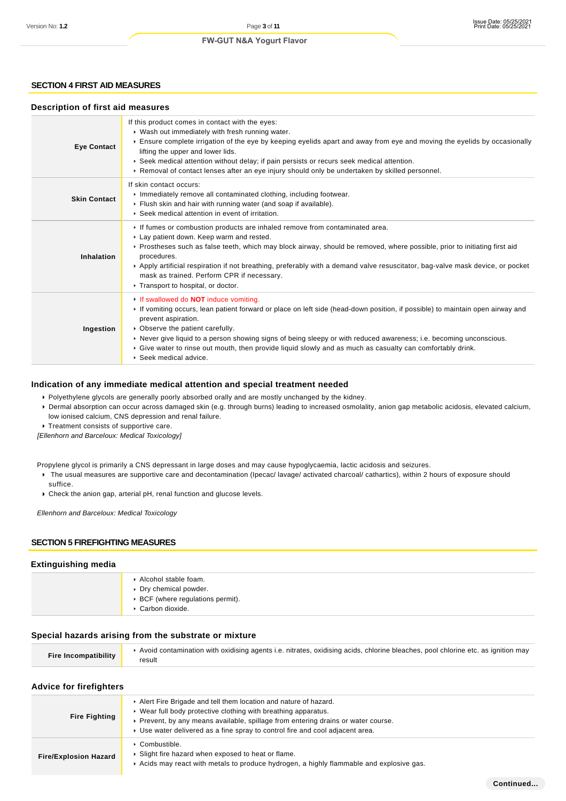### **SECTION 4 FIRST AID MEASURES**

### **Description of first aid measures**

| <b>Eye Contact</b>  | If this product comes in contact with the eyes:<br>▶ Wash out immediately with fresh running water.<br>Ensure complete irrigation of the eye by keeping eyelids apart and away from eye and moving the eyelids by occasionally<br>lifting the upper and lower lids.<br>▶ Seek medical attention without delay; if pain persists or recurs seek medical attention.<br>▶ Removal of contact lenses after an eye injury should only be undertaken by skilled personnel.                                |
|---------------------|-----------------------------------------------------------------------------------------------------------------------------------------------------------------------------------------------------------------------------------------------------------------------------------------------------------------------------------------------------------------------------------------------------------------------------------------------------------------------------------------------------|
| <b>Skin Contact</b> | If skin contact occurs:<br>Immediately remove all contaminated clothing, including footwear.<br>Flush skin and hair with running water (and soap if available).<br>▶ Seek medical attention in event of irritation.                                                                                                                                                                                                                                                                                 |
| <b>Inhalation</b>   | If fumes or combustion products are inhaled remove from contaminated area.<br>Lay patient down. Keep warm and rested.<br>▶ Prostheses such as false teeth, which may block airway, should be removed, where possible, prior to initiating first aid<br>procedures.<br>Apply artificial respiration if not breathing, preferably with a demand valve resuscitator, bag-valve mask device, or pocket<br>mask as trained. Perform CPR if necessary.<br>Transport to hospital, or doctor.               |
| Ingestion           | If swallowed do <b>NOT</b> induce vomiting.<br>If vomiting occurs, lean patient forward or place on left side (head-down position, if possible) to maintain open airway and<br>prevent aspiration.<br>• Observe the patient carefully.<br>▶ Never give liquid to a person showing signs of being sleepy or with reduced awareness; i.e. becoming unconscious.<br>Give water to rinse out mouth, then provide liquid slowly and as much as casualty can comfortably drink.<br>▶ Seek medical advice. |

#### **Indication of any immediate medical attention and special treatment needed**

Polyethylene glycols are generally poorly absorbed orally and are mostly unchanged by the kidney.

Dermal absorption can occur across damaged skin (e.g. through burns) leading to increased osmolality, anion gap metabolic acidosis, elevated calcium, low ionised calcium, CNS depression and renal failure.

**Treatment consists of supportive care.** 

[Ellenhorn and Barceloux: Medical Toxicology]

Propylene glycol is primarily a CNS depressant in large doses and may cause hypoglycaemia, lactic acidosis and seizures.

- ▶ The usual measures are supportive care and decontamination (Ipecac/ lavage/ activated charcoal/ cathartics), within 2 hours of exposure should suffice.
- Check the anion gap, arterial pH, renal function and glucose levels.

Ellenhorn and Barceloux: Medical Toxicology

### **SECTION 5 FIREFIGHTING MEASURES**

#### **Extinguishing media**

| Alcohol stable foam.<br>▶ Dry chemical powder.<br>▶ BCF (where regulations permit).<br>Carbon dioxide. |
|--------------------------------------------------------------------------------------------------------|
|                                                                                                        |

#### **Special hazards arising from the substrate or mixture**

|                             | Avoid contamination with oxidising agents i.e. nitrates, oxidising acids, chlorine bleaches, pool chlorine etc. as ignition may |
|-----------------------------|---------------------------------------------------------------------------------------------------------------------------------|
| <b>Fire Incompatibility</b> | result                                                                                                                          |

#### **Advice for firefighters**

| <b>Fire Fighting</b>         | Alert Fire Brigade and tell them location and nature of hazard.<br>▶ Wear full body protective clothing with breathing apparatus.<br>► Prevent, by any means available, spillage from entering drains or water course.<br>► Use water delivered as a fine spray to control fire and cool adjacent area. |
|------------------------------|---------------------------------------------------------------------------------------------------------------------------------------------------------------------------------------------------------------------------------------------------------------------------------------------------------|
| <b>Fire/Explosion Hazard</b> | • Combustible.<br>Slight fire hazard when exposed to heat or flame.<br>Acids may react with metals to produce hydrogen, a highly flammable and explosive gas.                                                                                                                                           |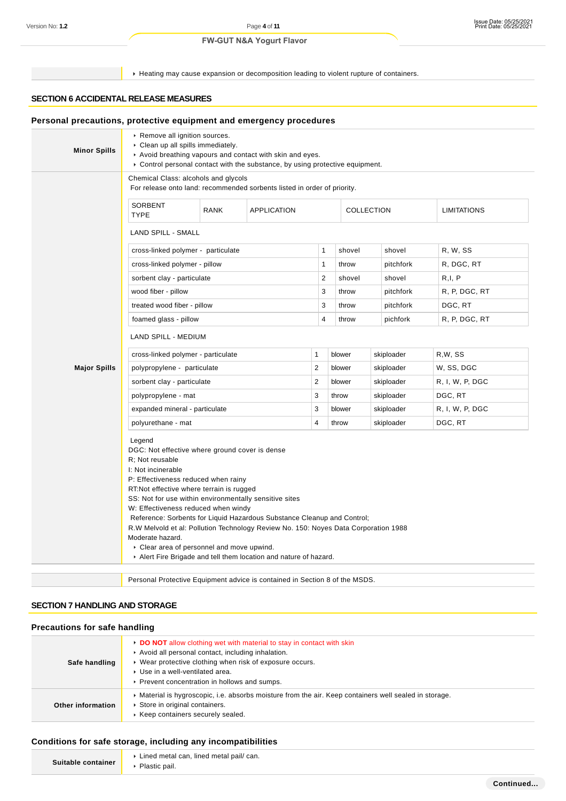Heating may cause expansion or decomposition leading to violent rupture of containers.

# **SECTION 6 ACCIDENTAL RELEASE MEASURES**

| <b>Minor Spills</b> | Remove all ignition sources.<br>Clean up all spills immediately.<br>Avoid breathing vapours and contact with skin and eyes.<br>► Control personal contact with the substance, by using protective equipment.                                                                                                                                                                                                                                                                                                              |             |                    |                |        |            |                    |
|---------------------|---------------------------------------------------------------------------------------------------------------------------------------------------------------------------------------------------------------------------------------------------------------------------------------------------------------------------------------------------------------------------------------------------------------------------------------------------------------------------------------------------------------------------|-------------|--------------------|----------------|--------|------------|--------------------|
|                     | Chemical Class: alcohols and glycols<br>For release onto land: recommended sorbents listed in order of priority.                                                                                                                                                                                                                                                                                                                                                                                                          |             |                    |                |        |            |                    |
|                     | SORBENT<br><b>TYPE</b>                                                                                                                                                                                                                                                                                                                                                                                                                                                                                                    | <b>RANK</b> | <b>APPLICATION</b> |                |        | COLLECTION | <b>LIMITATIONS</b> |
|                     | <b>LAND SPILL - SMALL</b>                                                                                                                                                                                                                                                                                                                                                                                                                                                                                                 |             |                    |                |        |            |                    |
|                     | cross-linked polymer - particulate                                                                                                                                                                                                                                                                                                                                                                                                                                                                                        |             |                    | 1              | shovel | shovel     | R, W, SS           |
|                     | cross-linked polymer - pillow                                                                                                                                                                                                                                                                                                                                                                                                                                                                                             |             |                    | $\mathbf{1}$   | throw  | pitchfork  | R, DGC, RT         |
|                     | sorbent clay - particulate                                                                                                                                                                                                                                                                                                                                                                                                                                                                                                |             |                    | $\overline{c}$ | shovel | shovel     | R, I, P            |
|                     | wood fiber - pillow                                                                                                                                                                                                                                                                                                                                                                                                                                                                                                       |             |                    | 3              | throw  | pitchfork  | R, P, DGC, RT      |
|                     | treated wood fiber - pillow                                                                                                                                                                                                                                                                                                                                                                                                                                                                                               |             |                    | 3              | throw  | pitchfork  | DGC, RT            |
|                     | foamed glass - pillow                                                                                                                                                                                                                                                                                                                                                                                                                                                                                                     |             |                    | $\overline{4}$ | throw  | pichfork   | R, P, DGC, RT      |
|                     | LAND SPILL - MEDIUM                                                                                                                                                                                                                                                                                                                                                                                                                                                                                                       |             |                    |                |        |            |                    |
|                     | cross-linked polymer - particulate                                                                                                                                                                                                                                                                                                                                                                                                                                                                                        |             |                    | 1              | blower | skiploader | R,W, SS            |
| <b>Major Spills</b> | polypropylene - particulate                                                                                                                                                                                                                                                                                                                                                                                                                                                                                               |             |                    | $\overline{2}$ | blower | skiploader | W, SS, DGC         |
|                     | sorbent clay - particulate                                                                                                                                                                                                                                                                                                                                                                                                                                                                                                |             |                    | 2              | blower | skiploader | R, I, W, P, DGC    |
|                     | polypropylene - mat                                                                                                                                                                                                                                                                                                                                                                                                                                                                                                       |             |                    | 3              | throw  | skiploader | DGC, RT            |
|                     | expanded mineral - particulate                                                                                                                                                                                                                                                                                                                                                                                                                                                                                            |             |                    | 3              | blower | skiploader | R, I, W, P, DGC    |
|                     | polyurethane - mat                                                                                                                                                                                                                                                                                                                                                                                                                                                                                                        |             |                    | 4              | throw  | skiploader | DGC, RT            |
|                     | Legend<br>DGC: Not effective where ground cover is dense<br>R: Not reusable<br>I: Not incinerable<br>P: Effectiveness reduced when rainy<br>RT:Not effective where terrain is rugged<br>SS: Not for use within environmentally sensitive sites<br>W: Effectiveness reduced when windy<br>Reference: Sorbents for Liquid Hazardous Substance Cleanup and Control;<br>R.W Melvold et al: Pollution Technology Review No. 150: Noyes Data Corporation 1988<br>Moderate hazard.<br>• Clear area of personnel and move upwind. |             |                    |                |        |            |                    |

# **SECTION 7 HANDLING AND STORAGE**

### **Precautions for safe handling**

| Safe handling     | ► DO NOT allow clothing wet with material to stay in contact with skin<br>Avoid all personal contact, including inhalation.<br>▶ Wear protective clothing when risk of exposure occurs.<br>▶ Use in a well-ventilated area.<br>▶ Prevent concentration in hollows and sumps. |
|-------------------|------------------------------------------------------------------------------------------------------------------------------------------------------------------------------------------------------------------------------------------------------------------------------|
| Other information | • Material is hygroscopic, i.e. absorbs moisture from the air. Keep containers well sealed in storage.<br>Store in original containers.<br>▶ Keep containers securely sealed.                                                                                                |

# **Conditions for safe storage, including any incompatibilities**

| Suitable container | ▶ Lined metal can, lined metal pail/ can. |
|--------------------|-------------------------------------------|
|                    | Plastic pail.                             |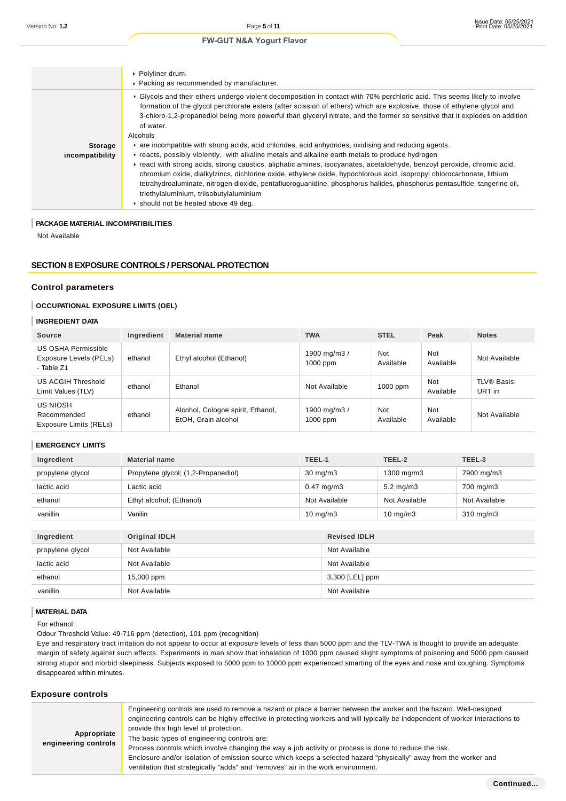|                 | ▶ Polyliner drum.<br>▶ Packing as recommended by manufacturer.                                                                                                                                                                                                                                                                                                                                                                                                  |
|-----------------|-----------------------------------------------------------------------------------------------------------------------------------------------------------------------------------------------------------------------------------------------------------------------------------------------------------------------------------------------------------------------------------------------------------------------------------------------------------------|
|                 | ► Glycols and their ethers undergo violent decomposition in contact with 70% perchloric acid. This seems likely to involve<br>formation of the glycol perchlorate esters (after scission of ethers) which are explosive, those of ethylene glycol and<br>3-chloro-1,2-propanediol being more powerful than glyceryl nitrate, and the former so sensitive that it explodes on addition<br>of water.<br>Alcohols                                                  |
| <b>Storage</b>  | are incompatible with strong acids, acid chlorides, acid anhydrides, oxidising and reducing agents.                                                                                                                                                                                                                                                                                                                                                             |
| incompatibility | Freacts, possibly violently, with alkaline metals and alkaline earth metals to produce hydrogen                                                                                                                                                                                                                                                                                                                                                                 |
|                 | Freact with strong acids, strong caustics, aliphatic amines, isocyanates, acetaldehyde, benzoyl peroxide, chromic acid,<br>chromium oxide, dialkylzincs, dichlorine oxide, ethylene oxide, hypochlorous acid, isopropyl chlorocarbonate, lithium<br>tetrahydroaluminate, nitrogen dioxide, pentafluoroguanidine, phosphorus halides, phosphorus pentasulfide, tangerine oil,<br>triethylaluminium, triisobutylaluminium<br>▶ should not be heated above 49 deg. |

### **PACKAGE MATERIAL INCOMPATIBILITIES**

Not Available

### **SECTION 8 EXPOSURE CONTROLS / PERSONAL PROTECTION**

### **Control parameters**

### **OCCUPATIONAL EXPOSURE LIMITS (OEL)**

### **INGREDIENT DATA**

| <b>Source</b>                                               | Ingredient | <b>Material name</b>                                     | <b>TWA</b>                 | <b>STEL</b>      | Peak             | <b>Notes</b>           |
|-------------------------------------------------------------|------------|----------------------------------------------------------|----------------------------|------------------|------------------|------------------------|
| US OSHA Permissible<br>Exposure Levels (PELs)<br>- Table Z1 | ethanol    | Ethyl alcohol (Ethanol)                                  | 1900 mg/m3 /<br>$1000$ ppm | Not<br>Available | Not<br>Available | Not Available          |
| US ACGIH Threshold<br>Limit Values (TLV)                    | ethanol    | Ethanol                                                  | Not Available              | $1000$ ppm       | Not<br>Available | TLV® Basis:<br>URT irr |
| US NIOSH<br>Recommended<br>Exposure Limits (RELs)           | ethanol    | Alcohol, Cologne spirit, Ethanol,<br>EtOH. Grain alcohol | 1900 mg/m3 /<br>$1000$ ppm | Not<br>Available | Not<br>Available | Not Available          |

#### **EMERGENCY LIMITS**

| Ingredient       | <b>Material name</b>                | TEEL-1                | TEEL-2               | TEEL-3             |
|------------------|-------------------------------------|-----------------------|----------------------|--------------------|
| propylene glycol | Propylene glycol; (1,2-Propanediol) | $30 \text{ mg/m}$     | 1300 mg/m3           | 7900 mg/m3         |
| lactic acid      | Lactic acid                         | $0.47 \text{ mg/m}$ 3 | $5.2 \text{ mg/m}$ 3 | 700 mg/m3          |
| ethanol          | Ethyl alcohol; (Ethanol)            | Not Available         | Not Available        | Not Available      |
| vanillin         | Vanilin                             | $10 \text{ mg/m}$     | $10 \text{ mg/m}$    | $310 \text{ mg/m}$ |

| Ingredient       | Original IDLH | <b>Revised IDLH</b> |
|------------------|---------------|---------------------|
| propylene glycol | Not Available | Not Available       |
| lactic acid      | Not Available | Not Available       |
| ethanol          | 15,000 ppm    | 3,300 [LEL] ppm     |
| vanillin         | Not Available | Not Available       |

### **MATERIAL DATA**

For ethanol:

Odour Threshold Value: 49-716 ppm (detection), 101 ppm (recognition)

Eye and respiratory tract irritation do not appear to occur at exposure levels of less than 5000 ppm and the TLV-TWA is thought to provide an adequate margin of safety against such effects. Experiments in man show that inhalation of 1000 ppm caused slight symptoms of poisoning and 5000 ppm caused strong stupor and morbid sleepiness. Subjects exposed to 5000 ppm to 10000 ppm experienced smarting of the eyes and nose and coughing. Symptoms disappeared within minutes.

### **Exposure controls**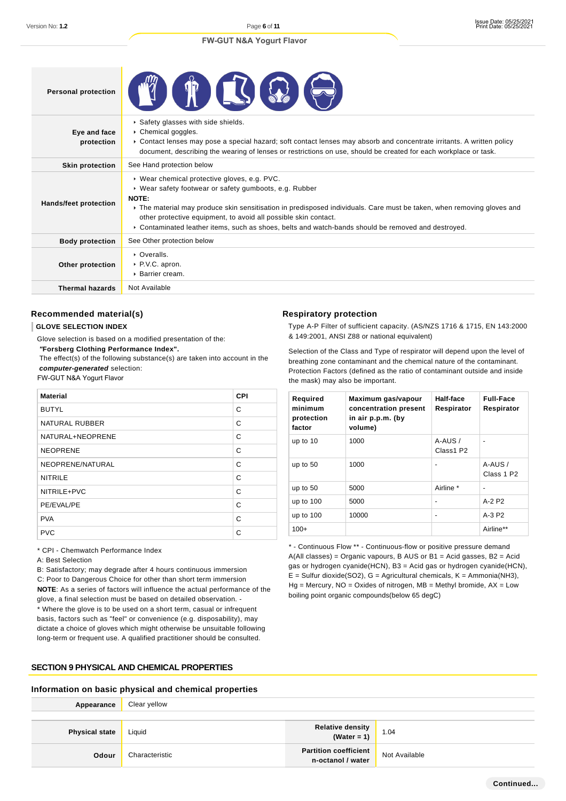**6** of **11**

### **FW-GUT N&A Yogurt Flavor**

| <b>Personal protection</b> |                                                                                                                                                                                                                                                                                                                                                                                                                     |
|----------------------------|---------------------------------------------------------------------------------------------------------------------------------------------------------------------------------------------------------------------------------------------------------------------------------------------------------------------------------------------------------------------------------------------------------------------|
| Eye and face<br>protection | Safety glasses with side shields.<br>Chemical goggles.<br>► Contact lenses may pose a special hazard; soft contact lenses may absorb and concentrate irritants. A written policy<br>document, describing the wearing of lenses or restrictions on use, should be created for each workplace or task.                                                                                                                |
| <b>Skin protection</b>     | See Hand protection below                                                                                                                                                                                                                                                                                                                                                                                           |
| Hands/feet protection      | ▶ Wear chemical protective gloves, e.g. PVC.<br>▶ Wear safety footwear or safety gumboots, e.g. Rubber<br>NOTE:<br>▶ The material may produce skin sensitisation in predisposed individuals. Care must be taken, when removing gloves and<br>other protective equipment, to avoid all possible skin contact.<br>▶ Contaminated leather items, such as shoes, belts and watch-bands should be removed and destroyed. |
| <b>Body protection</b>     | See Other protection below                                                                                                                                                                                                                                                                                                                                                                                          |
| Other protection           | • Overalls.<br>▶ P.V.C. apron.<br>$\triangleright$ Barrier cream.                                                                                                                                                                                                                                                                                                                                                   |
| <b>Thermal hazards</b>     | Not Available                                                                                                                                                                                                                                                                                                                                                                                                       |

### **Recommended material(s)**

#### **GLOVE SELECTION INDEX**

Glove selection is based on a modified presentation of the:

 **"Forsberg Clothing Performance Index".**

 The effect(s) of the following substance(s) are taken into account in the **computer-generated** selection:

#### FW-GUT N&A Yogurt Flavor

| <b>Material</b>  | CPI |
|------------------|-----|
| <b>BUTYL</b>     | C   |
| NATURAL RUBBER   | C   |
| NATURAL+NEOPRENE | C   |
| <b>NEOPRENE</b>  | C   |
| NEOPRENE/NATURAL | C   |
| <b>NITRILE</b>   | C   |
| NITRILE+PVC      | C   |
| PE/EVAL/PE       | C   |
| <b>PVA</b>       | С   |
| <b>PVC</b>       | C   |

\* CPI - Chemwatch Performance Index

A: Best Selection

B: Satisfactory; may degrade after 4 hours continuous immersion C: Poor to Dangerous Choice for other than short term immersion **NOTE**: As a series of factors will influence the actual performance of the glove, a final selection must be based on detailed observation. -

\* Where the glove is to be used on a short term, casual or infrequent basis, factors such as "feel" or convenience (e.g. disposability), may dictate a choice of gloves which might otherwise be unsuitable following long-term or frequent use. A qualified practitioner should be consulted.

### **SECTION 9 PHYSICAL AND CHEMICAL PROPERTIES**

### **Information on basic physical and chemical properties**

| Appearance            | Clear yellow   |                                                   |               |
|-----------------------|----------------|---------------------------------------------------|---------------|
|                       |                |                                                   |               |
| <b>Physical state</b> | Liauid         | Relative density<br>(Water = 1)                   | 1.04          |
| Odour                 | Characteristic | <b>Partition coefficient</b><br>n-octanol / water | Not Available |

#### **Respiratory protection**

Type A-P Filter of sufficient capacity. (AS/NZS 1716 & 1715, EN 143:2000 & 149:2001, ANSI Z88 or national equivalent)

Selection of the Class and Type of respirator will depend upon the level of breathing zone contaminant and the chemical nature of the contaminant. Protection Factors (defined as the ratio of contaminant outside and inside the mask) may also be important.

| Required<br>minimum<br>protection<br>factor | Maximum gas/vapour<br>concentration present<br>in air p.p.m. (by<br>volume) | Half-face<br>Respirator | <b>Full-Face</b><br>Respirator    |
|---------------------------------------------|-----------------------------------------------------------------------------|-------------------------|-----------------------------------|
| up to 10                                    | 1000                                                                        | $A-AUS/$<br>Class1 P2   |                                   |
| up to $50$                                  | 1000                                                                        |                         | A-AUS /<br>Class 1 P <sub>2</sub> |
| up to 50                                    | 5000                                                                        | Airline *               |                                   |
| up to 100                                   | 5000                                                                        |                         | $A-2P2$                           |
| up to 100                                   | 10000                                                                       | -                       | $A-3P2$                           |
| $100+$                                      |                                                                             |                         | Airline**                         |

\* - Continuous Flow \*\* - Continuous-flow or positive pressure demand  $A(All classes) = Organic vapours, B AUS or B1 = Acid gases, B2 = Acid$ gas or hydrogen cyanide(HCN), B3 = Acid gas or hydrogen cyanide(HCN), E = Sulfur dioxide(SO2), G = Agricultural chemicals, K = Ammonia(NH3),  $Hg =$  Mercury, NO = Oxides of nitrogen, MB = Methyl bromide, AX = Low boiling point organic compounds(below 65 degC)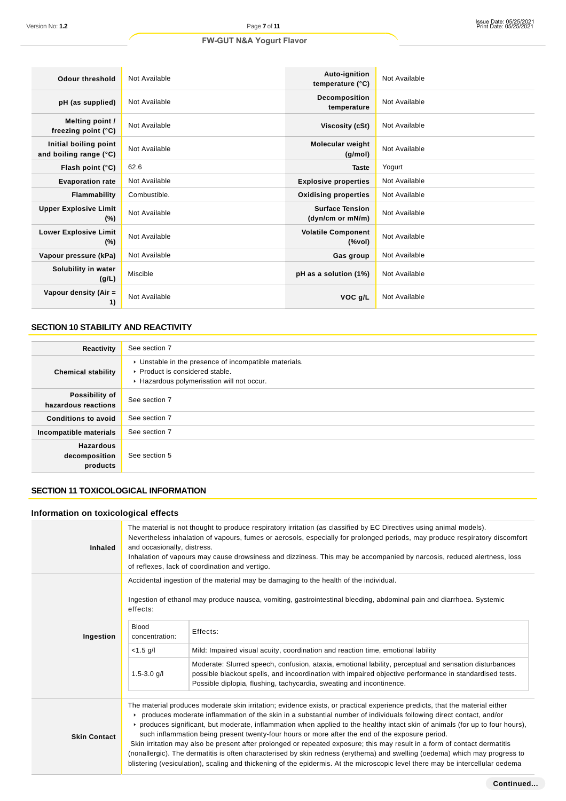| <b>Odour threshold</b>                          | Not Available | Auto-ignition<br>temperature (°C)          | Not Available |
|-------------------------------------------------|---------------|--------------------------------------------|---------------|
| pH (as supplied)                                | Not Available | Decomposition<br>temperature               | Not Available |
| Melting point /<br>freezing point (°C)          | Not Available | Viscosity (cSt)                            | Not Available |
| Initial boiling point<br>and boiling range (°C) | Not Available | <b>Molecular weight</b><br>(g/mol)         | Not Available |
| Flash point (°C)                                | 62.6          | <b>Taste</b>                               | Yogurt        |
| <b>Evaporation rate</b>                         | Not Available | <b>Explosive properties</b>                | Not Available |
| Flammability                                    | Combustible.  | <b>Oxidising properties</b>                | Not Available |
| <b>Upper Explosive Limit</b><br>$(\%)$          | Not Available | <b>Surface Tension</b><br>(dyn/cm or mN/m) | Not Available |
| <b>Lower Explosive Limit</b><br>$(\%)$          | Not Available | <b>Volatile Component</b><br>$(\%$ vol)    | Not Available |
| Vapour pressure (kPa)                           | Not Available | Gas group                                  | Not Available |
| Solubility in water<br>(g/L)                    | Miscible      | pH as a solution (1%)                      | Not Available |
| Vapour density (Air =<br>1)                     | Not Available | VOC g/L                                    | Not Available |

# **SECTION 10 STABILITY AND REACTIVITY**

| Reactivity                                    | See section 7                                                                                                                          |
|-----------------------------------------------|----------------------------------------------------------------------------------------------------------------------------------------|
| <b>Chemical stability</b>                     | • Unstable in the presence of incompatible materials.<br>▶ Product is considered stable.<br>▶ Hazardous polymerisation will not occur. |
| Possibility of<br>hazardous reactions         | See section 7                                                                                                                          |
| <b>Conditions to avoid</b>                    | See section 7                                                                                                                          |
| Incompatible materials                        | See section 7                                                                                                                          |
| <b>Hazardous</b><br>decomposition<br>products | See section 5                                                                                                                          |

# **SECTION 11 TOXICOLOGICAL INFORMATION**

# **Information on toxicological effects**

| <b>Inhaled</b>      | The material is not thought to produce respiratory irritation (as classified by EC Directives using animal models).<br>Nevertheless inhalation of vapours, fumes or aerosols, especially for prolonged periods, may produce respiratory discomfort<br>and occasionally, distress.<br>Inhalation of vapours may cause drowsiness and dizziness. This may be accompanied by narcosis, reduced alertness, loss<br>of reflexes, lack of coordination and vertigo.                                                                                                                                                                                                                                                                                                                                                                                                                       |                                                                                                                                                                                                                                                                                           |  |
|---------------------|-------------------------------------------------------------------------------------------------------------------------------------------------------------------------------------------------------------------------------------------------------------------------------------------------------------------------------------------------------------------------------------------------------------------------------------------------------------------------------------------------------------------------------------------------------------------------------------------------------------------------------------------------------------------------------------------------------------------------------------------------------------------------------------------------------------------------------------------------------------------------------------|-------------------------------------------------------------------------------------------------------------------------------------------------------------------------------------------------------------------------------------------------------------------------------------------|--|
|                     | effects:                                                                                                                                                                                                                                                                                                                                                                                                                                                                                                                                                                                                                                                                                                                                                                                                                                                                            | Accidental ingestion of the material may be damaging to the health of the individual.<br>Ingestion of ethanol may produce nausea, vomiting, gastrointestinal bleeding, abdominal pain and diarrhoea. Systemic                                                                             |  |
| Ingestion           | <b>Blood</b><br>concentration:                                                                                                                                                                                                                                                                                                                                                                                                                                                                                                                                                                                                                                                                                                                                                                                                                                                      | Effects:                                                                                                                                                                                                                                                                                  |  |
|                     | $< 1.5$ g/l                                                                                                                                                                                                                                                                                                                                                                                                                                                                                                                                                                                                                                                                                                                                                                                                                                                                         | Mild: Impaired visual acuity, coordination and reaction time, emotional lability                                                                                                                                                                                                          |  |
|                     | $1.5 - 3.0$ g/l                                                                                                                                                                                                                                                                                                                                                                                                                                                                                                                                                                                                                                                                                                                                                                                                                                                                     | Moderate: Slurred speech, confusion, ataxia, emotional lability, perceptual and sensation disturbances<br>possible blackout spells, and incoordination with impaired objective performance in standardised tests.<br>Possible diplopia, flushing, tachycardia, sweating and incontinence. |  |
| <b>Skin Contact</b> | The material produces moderate skin irritation; evidence exists, or practical experience predicts, that the material either<br>produces moderate inflammation of the skin in a substantial number of individuals following direct contact, and/or<br>► produces significant, but moderate, inflammation when applied to the healthy intact skin of animals (for up to four hours),<br>such inflammation being present twenty-four hours or more after the end of the exposure period.<br>Skin irritation may also be present after prolonged or repeated exposure; this may result in a form of contact dermatitis<br>(nonallergic). The dermatitis is often characterised by skin redness (erythema) and swelling (oedema) which may progress to<br>blistering (vesiculation), scaling and thickening of the epidermis. At the microscopic level there may be intercellular oedema |                                                                                                                                                                                                                                                                                           |  |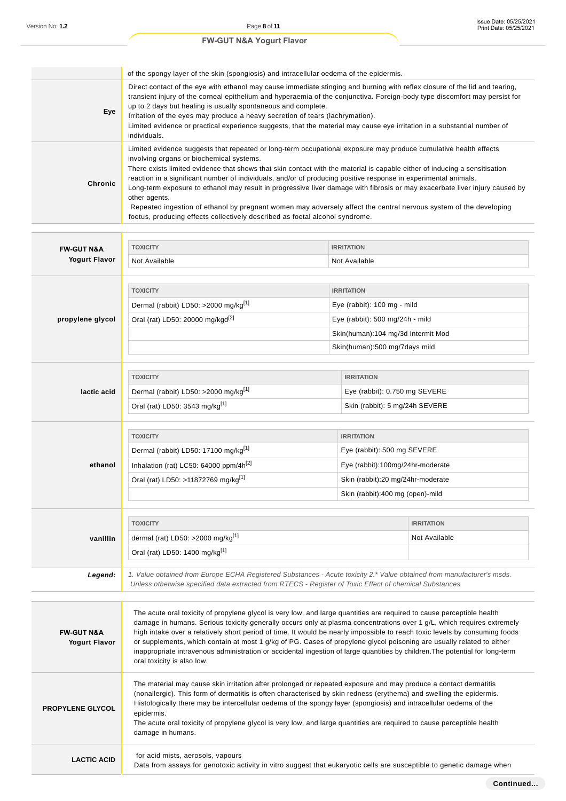|         | of the spongy layer of the skin (spongiosis) and intracellular oedema of the epidermis.                                                                                                                                                                                                                                                                                                                                                                                                                                                                                                                                                                                                                                                                            |
|---------|--------------------------------------------------------------------------------------------------------------------------------------------------------------------------------------------------------------------------------------------------------------------------------------------------------------------------------------------------------------------------------------------------------------------------------------------------------------------------------------------------------------------------------------------------------------------------------------------------------------------------------------------------------------------------------------------------------------------------------------------------------------------|
| Eye     | Direct contact of the eye with ethanol may cause immediate stinging and burning with reflex closure of the lid and tearing,<br>transient injury of the corneal epithelium and hyperaemia of the conjunctiva. Foreign-body type discomfort may persist for<br>up to 2 days but healing is usually spontaneous and complete.<br>Irritation of the eyes may produce a heavy secretion of tears (lachrymation).<br>Limited evidence or practical experience suggests, that the material may cause eye irritation in a substantial number of<br>individuals.                                                                                                                                                                                                            |
| Chronic | Limited evidence suggests that repeated or long-term occupational exposure may produce cumulative health effects<br>involving organs or biochemical systems.<br>There exists limited evidence that shows that skin contact with the material is capable either of inducing a sensitisation<br>reaction in a significant number of individuals, and/or of producing positive response in experimental animals.<br>Long-term exposure to ethanol may result in progressive liver damage with fibrosis or may exacerbate liver injury caused by<br>other agents.<br>Repeated ingestion of ethanol by pregnant women may adversely affect the central nervous system of the developing<br>foetus, producing effects collectively described as foetal alcohol syndrome. |

|                                               | <b>TOXICITY</b>                                                                                                                                                                                                                                                                                                                                                                                                                                                                                                                                                                                                                                                        | <b>IRRITATION</b>                  |                   |
|-----------------------------------------------|------------------------------------------------------------------------------------------------------------------------------------------------------------------------------------------------------------------------------------------------------------------------------------------------------------------------------------------------------------------------------------------------------------------------------------------------------------------------------------------------------------------------------------------------------------------------------------------------------------------------------------------------------------------------|------------------------------------|-------------------|
| <b>FW-GUT N&amp;A</b><br><b>Yogurt Flavor</b> | Not Available                                                                                                                                                                                                                                                                                                                                                                                                                                                                                                                                                                                                                                                          | Not Available                      |                   |
|                                               |                                                                                                                                                                                                                                                                                                                                                                                                                                                                                                                                                                                                                                                                        |                                    |                   |
|                                               | <b>TOXICITY</b>                                                                                                                                                                                                                                                                                                                                                                                                                                                                                                                                                                                                                                                        | <b>IRRITATION</b>                  |                   |
|                                               | Dermal (rabbit) LD50: >2000 mg/kg <sup>[1]</sup>                                                                                                                                                                                                                                                                                                                                                                                                                                                                                                                                                                                                                       | Eye (rabbit): 100 mg - mild        |                   |
| propylene glycol                              | Oral (rat) LD50: 20000 mg/kgd <sup>[2]</sup>                                                                                                                                                                                                                                                                                                                                                                                                                                                                                                                                                                                                                           | Eye (rabbit): 500 mg/24h - mild    |                   |
|                                               |                                                                                                                                                                                                                                                                                                                                                                                                                                                                                                                                                                                                                                                                        | Skin(human):104 mg/3d Intermit Mod |                   |
|                                               |                                                                                                                                                                                                                                                                                                                                                                                                                                                                                                                                                                                                                                                                        | Skin(human):500 mg/7days mild      |                   |
|                                               |                                                                                                                                                                                                                                                                                                                                                                                                                                                                                                                                                                                                                                                                        |                                    |                   |
|                                               | <b>TOXICITY</b>                                                                                                                                                                                                                                                                                                                                                                                                                                                                                                                                                                                                                                                        | <b>IRRITATION</b>                  |                   |
| lactic acid                                   | Dermal (rabbit) LD50: >2000 mg/kg <sup>[1]</sup>                                                                                                                                                                                                                                                                                                                                                                                                                                                                                                                                                                                                                       | Eye (rabbit): 0.750 mg SEVERE      |                   |
|                                               | Oral (rat) LD50: 3543 mg/kg <sup>[1]</sup>                                                                                                                                                                                                                                                                                                                                                                                                                                                                                                                                                                                                                             | Skin (rabbit): 5 mg/24h SEVERE     |                   |
|                                               |                                                                                                                                                                                                                                                                                                                                                                                                                                                                                                                                                                                                                                                                        |                                    |                   |
|                                               | <b>TOXICITY</b>                                                                                                                                                                                                                                                                                                                                                                                                                                                                                                                                                                                                                                                        | <b>IRRITATION</b>                  |                   |
|                                               | Dermal (rabbit) LD50: 17100 mg/kg <sup>[1]</sup>                                                                                                                                                                                                                                                                                                                                                                                                                                                                                                                                                                                                                       | Eye (rabbit): 500 mg SEVERE        |                   |
| ethanol                                       | Inhalation (rat) LC50: 64000 ppm/4h <sup>[2]</sup>                                                                                                                                                                                                                                                                                                                                                                                                                                                                                                                                                                                                                     | Eye (rabbit):100mg/24hr-moderate   |                   |
|                                               | Oral (rat) LD50: >11872769 mg/kg <sup>[1]</sup>                                                                                                                                                                                                                                                                                                                                                                                                                                                                                                                                                                                                                        | Skin (rabbit):20 mg/24hr-moderate  |                   |
|                                               |                                                                                                                                                                                                                                                                                                                                                                                                                                                                                                                                                                                                                                                                        | Skin (rabbit):400 mg (open)-mild   |                   |
|                                               |                                                                                                                                                                                                                                                                                                                                                                                                                                                                                                                                                                                                                                                                        |                                    |                   |
|                                               | <b>TOXICITY</b>                                                                                                                                                                                                                                                                                                                                                                                                                                                                                                                                                                                                                                                        |                                    | <b>IRRITATION</b> |
| vanillin                                      | dermal (rat) LD50: >2000 mg/kg $[1]$                                                                                                                                                                                                                                                                                                                                                                                                                                                                                                                                                                                                                                   |                                    | Not Available     |
|                                               | Oral (rat) LD50: 1400 mg/kg <sup>[1]</sup>                                                                                                                                                                                                                                                                                                                                                                                                                                                                                                                                                                                                                             |                                    |                   |
|                                               |                                                                                                                                                                                                                                                                                                                                                                                                                                                                                                                                                                                                                                                                        |                                    |                   |
| Legend:                                       | 1. Value obtained from Europe ECHA Registered Substances - Acute toxicity 2.* Value obtained from manufacturer's msds.<br>Unless otherwise specified data extracted from RTECS - Register of Toxic Effect of chemical Substances                                                                                                                                                                                                                                                                                                                                                                                                                                       |                                    |                   |
|                                               |                                                                                                                                                                                                                                                                                                                                                                                                                                                                                                                                                                                                                                                                        |                                    |                   |
| <b>FW-GUT N&amp;A</b><br><b>Yogurt Flavor</b> | The acute oral toxicity of propylene glycol is very low, and large quantities are required to cause perceptible health<br>damage in humans. Serious toxicity generally occurs only at plasma concentrations over 1 g/L, which requires extremely<br>high intake over a relatively short period of time. It would be nearly impossible to reach toxic levels by consuming foods<br>or supplements, which contain at most 1 g/kg of PG. Cases of propylene glycol poisoning are usually related to either<br>inappropriate intravenous administration or accidental ingestion of large quantities by children. The potential for long-term<br>oral toxicity is also low. |                                    |                   |
| <b>PROPYLENE GLYCOL</b>                       | The material may cause skin irritation after prolonged or repeated exposure and may produce a contact dermatitis<br>(nonallergic). This form of dermatitis is often characterised by skin redness (erythema) and swelling the epidermis.<br>Histologically there may be intercellular oedema of the spongy layer (spongiosis) and intracellular oedema of the<br>epidermis.<br>The acute oral toxicity of propylene glycol is very low, and large quantities are required to cause perceptible health<br>damage in humans.                                                                                                                                             |                                    |                   |
| <b>LACTIC ACID</b>                            | for acid mists, aerosols, vapours<br>Data from assays for genotoxic activity in vitro suggest that eukaryotic cells are susceptible to genetic damage when                                                                                                                                                                                                                                                                                                                                                                                                                                                                                                             |                                    |                   |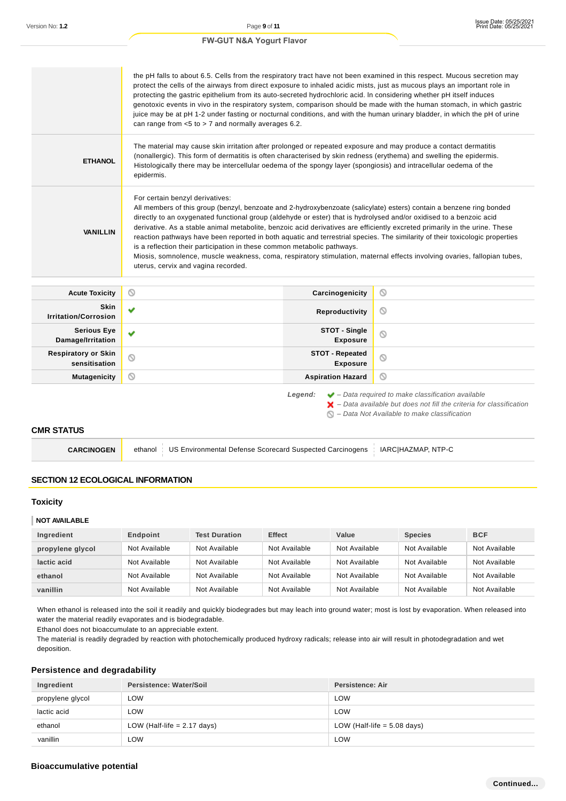|                                             | the pH falls to about 6.5. Cells from the respiratory tract have not been examined in this respect. Mucous secretion may<br>protect the cells of the airways from direct exposure to inhaled acidic mists, just as mucous plays an important role in<br>protecting the gastric epithelium from its auto-secreted hydrochloric acid. In considering whether pH itself induces<br>genotoxic events in vivo in the respiratory system, comparison should be made with the human stomach, in which gastric<br>juice may be at pH 1-2 under fasting or nocturnal conditions, and with the human urinary bladder, in which the pH of urine<br>can range from $< 5$ to $> 7$ and normally averages 6.2.                                                                                           |                                           |   |
|---------------------------------------------|--------------------------------------------------------------------------------------------------------------------------------------------------------------------------------------------------------------------------------------------------------------------------------------------------------------------------------------------------------------------------------------------------------------------------------------------------------------------------------------------------------------------------------------------------------------------------------------------------------------------------------------------------------------------------------------------------------------------------------------------------------------------------------------------|-------------------------------------------|---|
| <b>ETHANOL</b>                              | The material may cause skin irritation after prolonged or repeated exposure and may produce a contact dermatitis<br>(nonallergic). This form of dermatitis is often characterised by skin redness (erythema) and swelling the epidermis.<br>Histologically there may be intercellular oedema of the spongy layer (spongiosis) and intracellular oedema of the<br>epidermis.                                                                                                                                                                                                                                                                                                                                                                                                                |                                           |   |
| <b>VANILLIN</b>                             | For certain benzyl derivatives:<br>All members of this group (benzyl, benzoate and 2-hydroxybenzoate (salicylate) esters) contain a benzene ring bonded<br>directly to an oxygenated functional group (aldehyde or ester) that is hydrolysed and/or oxidised to a benzoic acid<br>derivative. As a stable animal metabolite, benzoic acid derivatives are efficiently excreted primarily in the urine. These<br>reaction pathways have been reported in both aquatic and terrestrial species. The similarity of their toxicologic properties<br>is a reflection their participation in these common metabolic pathways.<br>Miosis, somnolence, muscle weakness, coma, respiratory stimulation, maternal effects involving ovaries, fallopian tubes,<br>uterus, cervix and vagina recorded. |                                           |   |
|                                             |                                                                                                                                                                                                                                                                                                                                                                                                                                                                                                                                                                                                                                                                                                                                                                                            |                                           |   |
| <b>Acute Toxicity</b>                       | O                                                                                                                                                                                                                                                                                                                                                                                                                                                                                                                                                                                                                                                                                                                                                                                          | Carcinogenicity                           | O |
| <b>Skin</b><br><b>Irritation/Corrosion</b>  | ✔                                                                                                                                                                                                                                                                                                                                                                                                                                                                                                                                                                                                                                                                                                                                                                                          | Reproductivity                            | O |
| <b>Serious Eye</b><br>Damage/Irritation     | v                                                                                                                                                                                                                                                                                                                                                                                                                                                                                                                                                                                                                                                                                                                                                                                          | STOT - Single<br><b>Exposure</b>          | Q |
| <b>Respiratory or Skin</b><br>sensitisation | $\circ$                                                                                                                                                                                                                                                                                                                                                                                                                                                                                                                                                                                                                                                                                                                                                                                    | <b>STOT - Repeated</b><br><b>Exposure</b> | Ø |

 $\blacktriangleright$  – Data available but does not fill the criteria for classification  $\bigcirc$  – Data Not Available to make classification

#### **CMR STATUS**

| <b>CARCINOGEN</b> | ethanol   US Environmental Defense Scorecard Suspected Carcinogens   IARC HAZMAP, NTP-C |
|-------------------|-----------------------------------------------------------------------------------------|
|-------------------|-----------------------------------------------------------------------------------------|

### **SECTION 12 ECOLOGICAL INFORMATION**

#### **Toxicity**

#### **NOT AVAILABLE**

| Ingredient       | Endpoint      | <b>Test Duration</b> | <b>Effect</b> | Value         | <b>Species</b> | <b>BCF</b>    |
|------------------|---------------|----------------------|---------------|---------------|----------------|---------------|
| propylene glycol | Not Available | Not Available        | Not Available | Not Available | Not Available  | Not Available |
| lactic acid      | Not Available | Not Available        | Not Available | Not Available | Not Available  | Not Available |
| ethanol          | Not Available | Not Available        | Not Available | Not Available | Not Available  | Not Available |
| vanillin         | Not Available | Not Available        | Not Available | Not Available | Not Available  | Not Available |

When ethanol is released into the soil it readily and quickly biodegrades but may leach into ground water; most is lost by evaporation. When released into water the material readily evaporates and is biodegradable.

Ethanol does not bioaccumulate to an appreciable extent.

The material is readily degraded by reaction with photochemically produced hydroxy radicals; release into air will result in photodegradation and wet deposition.

### **Persistence and degradability**

| Ingredient       | Persistence: Water/Soil       | Persistence: Air              |
|------------------|-------------------------------|-------------------------------|
| propylene glycol | ∟OW                           | <b>LOW</b>                    |
| lactic acid      | LOW                           | <b>LOW</b>                    |
| ethanol          | LOW (Half-life $= 2.17$ days) | LOW (Half-life $= 5.08$ days) |
| vanillin         | LOW                           | <b>LOW</b>                    |

### **Bioaccumulative potential**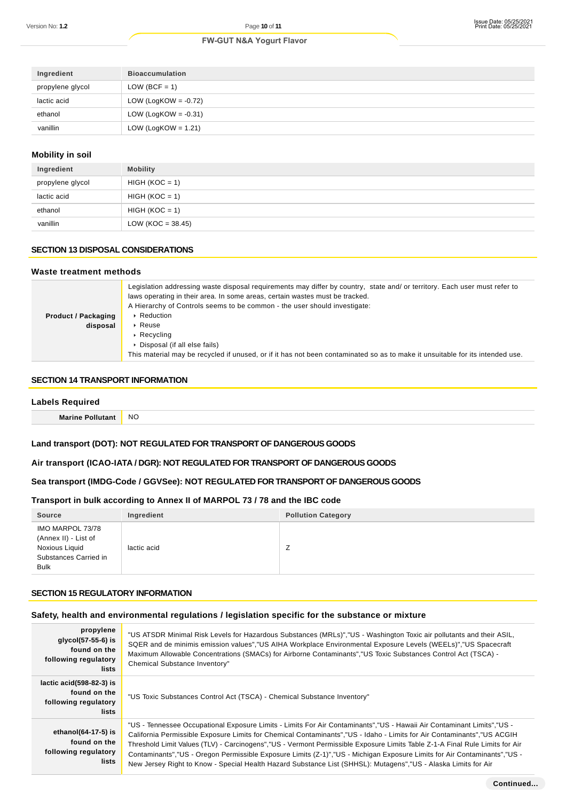| Ingredient       | <b>Bioaccumulation</b>  |
|------------------|-------------------------|
| propylene glycol | LOW (BCF = 1)           |
| lactic acid      | LOW (LogKOW = $-0.72$ ) |
| ethanol          | LOW (LogKOW = $-0.31$ ) |
| vanillin         | LOW (LogKOW = $1.21$ )  |

### **Mobility in soil**

| Ingredient       | <b>Mobility</b>      |
|------------------|----------------------|
| propylene glycol | $HIGH (KOC = 1)$     |
| lactic acid      | $HIGH (KOC = 1)$     |
| ethanol          | $HIGH (KOC = 1)$     |
| vanillin         | LOW (KOC = $38.45$ ) |

# **SECTION 13 DISPOSAL CONSIDERATIONS**

#### **Waste treatment methods**

|                            | Legislation addressing waste disposal requirements may differ by country, state and/ or territory. Each user must refer to<br>laws operating in their area. In some areas, certain wastes must be tracked.<br>A Hierarchy of Controls seems to be common - the user should investigate: |
|----------------------------|-----------------------------------------------------------------------------------------------------------------------------------------------------------------------------------------------------------------------------------------------------------------------------------------|
| <b>Product / Packaging</b> | ▶ Reduction                                                                                                                                                                                                                                                                             |
| disposal                   | $\triangleright$ Reuse                                                                                                                                                                                                                                                                  |
|                            | $\triangleright$ Recycling                                                                                                                                                                                                                                                              |
|                            | Disposal (if all else fails)                                                                                                                                                                                                                                                            |
|                            | This material may be recycled if unused, or if it has not been contaminated so as to make it unsuitable for its intended use.                                                                                                                                                           |
|                            |                                                                                                                                                                                                                                                                                         |

# **SECTION 14 TRANSPORT INFORMATION**

| <b>Labels Required</b>  |           |  |
|-------------------------|-----------|--|
| <b>Marine Pollutant</b> | <b>NO</b> |  |
|                         |           |  |

# **Land transport (DOT): NOT REGULATED FOR TRANSPORT OF DANGEROUS GOODS**

# **Air transport (ICAO-IATA / DGR): NOT REGULATED FOR TRANSPORT OF DANGEROUS GOODS**

### **Sea transport (IMDG-Code / GGVSee): NOT REGULATED FOR TRANSPORT OF DANGEROUS GOODS**

### **Transport in bulk according to Annex II of MARPOL 73 / 78 and the IBC code**

| <b>Source</b>                                                                                      | Ingredient  | <b>Pollution Category</b> |
|----------------------------------------------------------------------------------------------------|-------------|---------------------------|
| IMO MARPOL 73/78<br>(Annex II) - List of<br>Noxious Liquid<br>Substances Carried in<br><b>Bulk</b> | lactic acid | <u>_</u>                  |

### **SECTION 15 REGULATORY INFORMATION**

### **Safety, health and environmental regulations / legislation specific for the substance or mixture**

| propylene<br>glycol(57-55-6) is<br>found on the<br>following regulatory<br>lists | "US ATSDR Minimal Risk Levels for Hazardous Substances (MRLs)","US - Washington Toxic air pollutants and their ASIL,<br>SQER and de minimis emission values","US AIHA Workplace Environmental Exposure Levels (WEELs)","US Spacecraft<br>Maximum Allowable Concentrations (SMACs) for Airborne Contaminants","US Toxic Substances Control Act (TSCA) -<br>Chemical Substance Inventory"                                                                                                                                                                                                                                           |
|----------------------------------------------------------------------------------|-----------------------------------------------------------------------------------------------------------------------------------------------------------------------------------------------------------------------------------------------------------------------------------------------------------------------------------------------------------------------------------------------------------------------------------------------------------------------------------------------------------------------------------------------------------------------------------------------------------------------------------|
| lactic $acid(598-82-3)$ is<br>found on the<br>following regulatory<br>lists      | "US Toxic Substances Control Act (TSCA) - Chemical Substance Inventory"                                                                                                                                                                                                                                                                                                                                                                                                                                                                                                                                                           |
| ethanol(64-17-5) is<br>found on the<br>following regulatory<br>lists             | "US - Tennessee Occupational Exposure Limits - Limits For Air Contaminants","US - Hawaii Air Contaminant Limits","US<br>California Permissible Exposure Limits for Chemical Contaminants", "US - Idaho - Limits for Air Contaminants", "US ACGIH<br>Threshold Limit Values (TLV) - Carcinogens","US - Vermont Permissible Exposure Limits Table Z-1-A Final Rule Limits for Air<br>Contaminants", "US - Oregon Permissible Exposure Limits (Z-1)", "US - Michigan Exposure Limits for Air Contaminants", "US -<br>New Jersey Right to Know - Special Health Hazard Substance List (SHHSL): Mutagens", "US - Alaska Limits for Air |